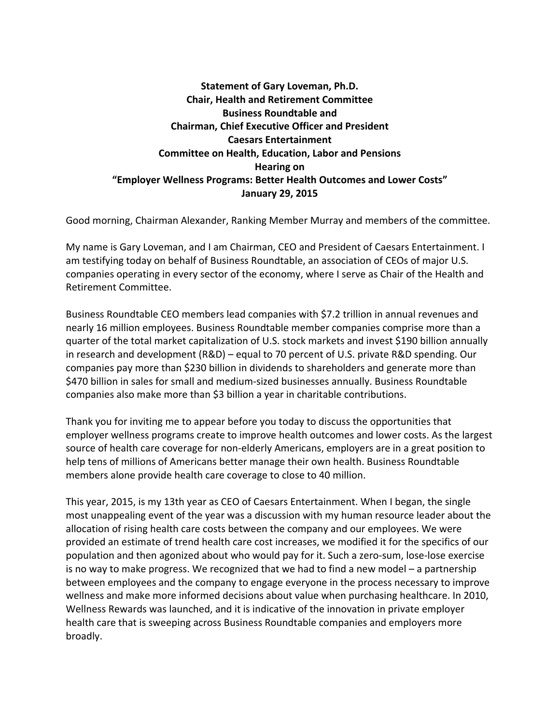## **Statement of Gary Loveman, Ph.D. Chair, Health and Retirement Committee Business Roundtable and Chairman, Chief Executive Officer and President Caesars Entertainment Committee on Health, Education, Labor and Pensions Hearing on "Employer Wellness Programs: Better Health Outcomes and Lower Costs" January 29, 2015**

Good morning, Chairman Alexander, Ranking Member Murray and members of the committee.

My name is Gary Loveman, and I am Chairman, CEO and President of Caesars Entertainment. I am testifying today on behalf of Business Roundtable, an association of CEOs of major U.S. companies operating in every sector of the economy, where I serve as Chair of the Health and Retirement Committee.

Business Roundtable CEO members lead companies with \$7.2 trillion in annual revenues and nearly 16 million employees. Business Roundtable member companies comprise more than a quarter of the total market capitalization of U.S. stock markets and invest \$190 billion annually in research and development (R&D) – equal to 70 percent of U.S. private R&D spending. Our companies pay more than \$230 billion in dividends to shareholders and generate more than \$470 billion in sales for small and medium-sized businesses annually. Business Roundtable companies also make more than \$3 billion a year in charitable contributions.

Thank you for inviting me to appear before you today to discuss the opportunities that employer wellness programs create to improve health outcomes and lower costs. As the largest source of health care coverage for non-elderly Americans, employers are in a great position to help tens of millions of Americans better manage their own health. Business Roundtable members alone provide health care coverage to close to 40 million.

This year, 2015, is my 13th year as CEO of Caesars Entertainment. When I began, the single most unappealing event of the year was a discussion with my human resource leader about the allocation of rising health care costs between the company and our employees. We were provided an estimate of trend health care cost increases, we modified it for the specifics of our population and then agonized about who would pay for it. Such a zero-sum, lose-lose exercise is no way to make progress. We recognized that we had to find a new model – a partnership between employees and the company to engage everyone in the process necessary to improve wellness and make more informed decisions about value when purchasing healthcare. In 2010, Wellness Rewards was launched, and it is indicative of the innovation in private employer health care that is sweeping across Business Roundtable companies and employers more broadly.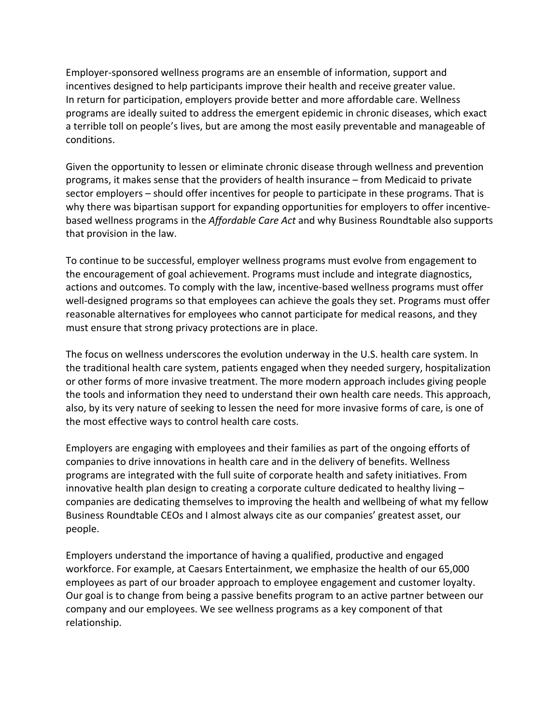Employer-sponsored wellness programs are an ensemble of information, support and incentives designed to help participants improve their health and receive greater value. In return for participation, employers provide better and more affordable care. Wellness programs are ideally suited to address the emergent epidemic in chronic diseases, which exact a terrible toll on people's lives, but are among the most easily preventable and manageable of conditions.

Given the opportunity to lessen or eliminate chronic disease through wellness and prevention programs, it makes sense that the providers of health insurance – from Medicaid to private sector employers – should offer incentives for people to participate in these programs. That is why there was bipartisan support for expanding opportunities for employers to offer incentivebased wellness programs in the *Affordable Care Act* and why Business Roundtable also supports that provision in the law.

To continue to be successful, employer wellness programs must evolve from engagement to the encouragement of goal achievement. Programs must include and integrate diagnostics, actions and outcomes. To comply with the law, incentive-based wellness programs must offer well-designed programs so that employees can achieve the goals they set. Programs must offer reasonable alternatives for employees who cannot participate for medical reasons, and they must ensure that strong privacy protections are in place.

The focus on wellness underscores the evolution underway in the U.S. health care system. In the traditional health care system, patients engaged when they needed surgery, hospitalization or other forms of more invasive treatment. The more modern approach includes giving people the tools and information they need to understand their own health care needs. This approach, also, by its very nature of seeking to lessen the need for more invasive forms of care, is one of the most effective ways to control health care costs.

Employers are engaging with employees and their families as part of the ongoing efforts of companies to drive innovations in health care and in the delivery of benefits. Wellness programs are integrated with the full suite of corporate health and safety initiatives. From innovative health plan design to creating a corporate culture dedicated to healthy living – companies are dedicating themselves to improving the health and wellbeing of what my fellow Business Roundtable CEOs and I almost always cite as our companies' greatest asset, our people.

Employers understand the importance of having a qualified, productive and engaged workforce. For example, at Caesars Entertainment, we emphasize the health of our 65,000 employees as part of our broader approach to employee engagement and customer loyalty. Our goal is to change from being a passive benefits program to an active partner between our company and our employees. We see wellness programs as a key component of that relationship.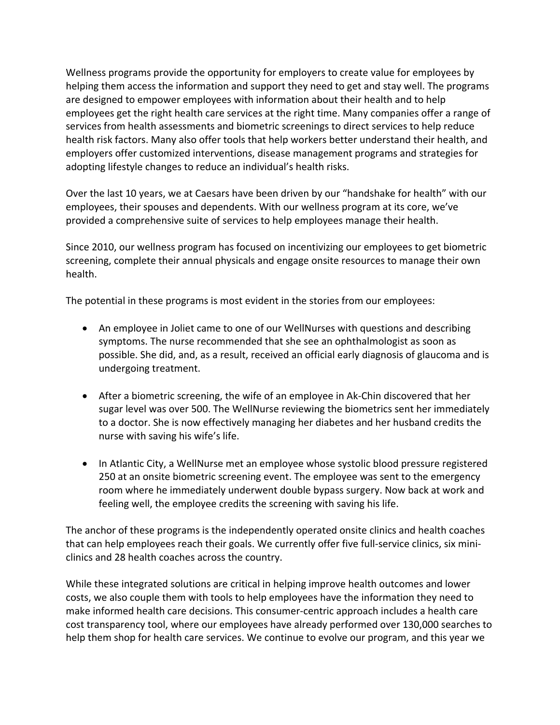Wellness programs provide the opportunity for employers to create value for employees by helping them access the information and support they need to get and stay well. The programs are designed to empower employees with information about their health and to help employees get the right health care services at the right time. Many companies offer a range of services from health assessments and biometric screenings to direct services to help reduce health risk factors. Many also offer tools that help workers better understand their health, and employers offer customized interventions, disease management programs and strategies for adopting lifestyle changes to reduce an individual's health risks.

Over the last 10 years, we at Caesars have been driven by our "handshake for health" with our employees, their spouses and dependents. With our wellness program at its core, we've provided a comprehensive suite of services to help employees manage their health.

Since 2010, our wellness program has focused on incentivizing our employees to get biometric screening, complete their annual physicals and engage onsite resources to manage their own health.

The potential in these programs is most evident in the stories from our employees:

- An employee in Joliet came to one of our WellNurses with questions and describing symptoms. The nurse recommended that she see an ophthalmologist as soon as possible. She did, and, as a result, received an official early diagnosis of glaucoma and is undergoing treatment.
- After a biometric screening, the wife of an employee in Ak-Chin discovered that her sugar level was over 500. The WellNurse reviewing the biometrics sent her immediately to a doctor. She is now effectively managing her diabetes and her husband credits the nurse with saving his wife's life.
- In Atlantic City, a WellNurse met an employee whose systolic blood pressure registered 250 at an onsite biometric screening event. The employee was sent to the emergency room where he immediately underwent double bypass surgery. Now back at work and feeling well, the employee credits the screening with saving his life.

The anchor of these programs is the independently operated onsite clinics and health coaches that can help employees reach their goals. We currently offer five full-service clinics, six miniclinics and 28 health coaches across the country.

While these integrated solutions are critical in helping improve health outcomes and lower costs, we also couple them with tools to help employees have the information they need to make informed health care decisions. This consumer-centric approach includes a health care cost transparency tool, where our employees have already performed over 130,000 searches to help them shop for health care services. We continue to evolve our program, and this year we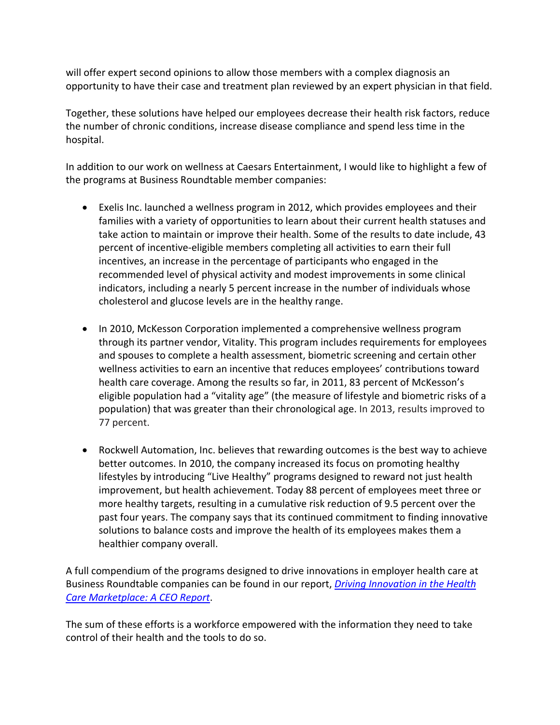will offer expert second opinions to allow those members with a complex diagnosis an opportunity to have their case and treatment plan reviewed by an expert physician in that field.

Together, these solutions have helped our employees decrease their health risk factors, reduce the number of chronic conditions, increase disease compliance and spend less time in the hospital.

In addition to our work on wellness at Caesars Entertainment, I would like to highlight a few of the programs at Business Roundtable member companies:

- Exelis Inc. launched a wellness program in 2012, which provides employees and their families with a variety of opportunities to learn about their current health statuses and take action to maintain or improve their health. Some of the results to date include, 43 percent of incentive-eligible members completing all activities to earn their full incentives, an increase in the percentage of participants who engaged in the recommended level of physical activity and modest improvements in some clinical indicators, including a nearly 5 percent increase in the number of individuals whose cholesterol and glucose levels are in the healthy range.
- In 2010, McKesson Corporation implemented a comprehensive wellness program through its partner vendor, Vitality. This program includes requirements for employees and spouses to complete a health assessment, biometric screening and certain other wellness activities to earn an incentive that reduces employees' contributions toward health care coverage. Among the results so far, in 2011, 83 percent of McKesson's eligible population had a "vitality age" (the measure of lifestyle and biometric risks of a population) that was greater than their chronological age. In 2013, results improved to 77 percent.
- Rockwell Automation, Inc. believes that rewarding outcomes is the best way to achieve better outcomes. In 2010, the company increased its focus on promoting healthy lifestyles by introducing "Live Healthy" programs designed to reward not just health improvement, but health achievement. Today 88 percent of employees meet three or more healthy targets, resulting in a cumulative risk reduction of 9.5 percent over the past four years. The company says that its continued commitment to finding innovative solutions to balance costs and improve the health of its employees makes them a healthier company overall.

A full compendium of the programs designed to drive innovations in employer health care at Business Roundtable companies can be found in our report, *[Driving Innovation in the Health](http://businessroundtable.org/health-care-innovation)  [Care Marketplace: A CEO Report](http://businessroundtable.org/health-care-innovation)*.

The sum of these efforts is a workforce empowered with the information they need to take control of their health and the tools to do so.